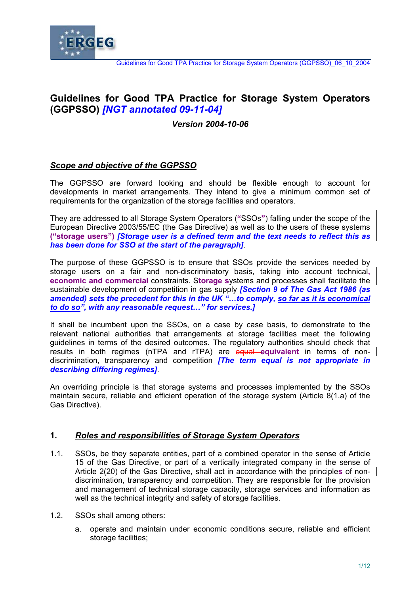

# **Guidelines for Good TPA Practice for Storage System Operators (GGPSSO)** *[NGT annotated 09-11-04]*

## *Version 2004-10-06*

## *Scope and objective of the GGPSSO*

The GGPSSO are forward looking and should be flexible enough to account for developments in market arrangements. They intend to give a minimum common set of requirements for the organization of the storage facilities and operators.

They are addressed to all Storage System Operators (**"**SSOs**"**) falling under the scope of the European Directive 2003/55/EC (the Gas Directive) as well as to the users of these systems **("storage users")** *[Storage user is a defined term and the text needs to reflect this as has been done for SSO at the start of the paragraph]*.

The purpose of these GGPSSO is to ensure that SSOs provide the services needed by storage users on a fair and non-discriminatory basis, taking into account technical**, economic and commercial** constraints. S**torage s**ystems and processes shall facilitate the sustainable development of competition in gas supply *[Section 9 of The Gas Act 1986 (as amended) sets the precedent for this in the UK "…to comply, so far as it is economical to do so", with any reasonable request…" for services.]*

It shall be incumbent upon the SSOs, on a case by case basis, to demonstrate to the relevant national authorities that arrangements at storage facilities meet the following guidelines in terms of the desired outcomes. The regulatory authorities should check that results in both regimes (nTPA and rTPA) are equal **equivalent** in terms of nondiscrimination, transparency and competition *[The term equal is not appropriate in describing differing regimes]*.

An overriding principle is that storage systems and processes implemented by the SSOs maintain secure, reliable and efficient operation of the storage system (Article 8(1.a) of the Gas Directive).

## **1.** *Roles and responsibilities of Storage System Operators*

- 1.1. SSOs, be they separate entities, part of a combined operator in the sense of Article 15 of the Gas Directive, or part of a vertically integrated company in the sense of Article 2(20) of the Gas Directive, shall act in accordance with the principle**s** of nondiscrimination, transparency and competition. They are responsible for the provision and management of technical storage capacity, storage services and information as well as the technical integrity and safety of storage facilities.
- 1.2. SSOs shall among others:
	- a. operate and maintain under economic conditions secure, reliable and efficient storage facilities: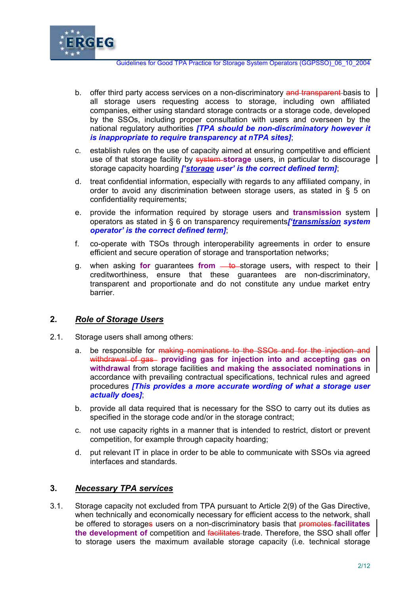

- b. offer third party access services on a non-discriminatory and transparent basis to  $\parallel$ all storage users requesting access to storage, including own affiliated companies, either using standard storage contracts or a storage code, developed by the SSOs, including proper consultation with users and overseen by the national regulatory authorities *[TPA should be non-discriminatory however it is inappropriate to require transparency at nTPA sites]*;
- c. establish rules on the use of capacity aimed at ensuring competitive and efficient use of that storage facility by system **storage** users, in particular to discourage storage capacity hoarding *['storage user' is the correct defined term]*;
- d. treat confidential information, especially with regards to any affiliated company, in order to avoid any discrimination between storage users, as stated in § 5 on confidentiality requirements;
- e. provide the information required by storage users and **transmission** system operators as stated in § 6 on transparency requirements*['transmission system operator' is the correct defined term]*;
- f. co-operate with TSOs through interoperability agreements in order to ensure efficient and secure operation of storage and transportation networks;
- g. when asking **for** guarantees **from** <u>to</u>-storage users, with respect to their | creditworthiness, ensure that these guarantees are non-discriminatory, transparent and proportionate and do not constitute any undue market entry barrier.

# **2.** *Role of Storage Users*

- 2.1. Storage users shall among others:
	- a. be responsible for making nominations to the SSOs and for the injection and withdrawal of gas- providing gas for injection into and accepting gas on **withdrawal** from storage facilities **and making the associated nominations** in accordance with prevailing contractual specifications, technical rules and agreed procedures *[This provides a more accurate wording of what a storage user actually does]*;
	- b. provide all data required that is necessary for the SSO to carry out its duties as specified in the storage code and/or in the storage contract;
	- c. not use capacity rights in a manner that is intended to restrict, distort or prevent competition, for example through capacity hoarding;
	- d. put relevant IT in place in order to be able to communicate with SSOs via agreed interfaces and standards.

## **3.** *Necessary TPA services*

3.1. Storage capacity not excluded from TPA pursuant to Article 2(9) of the Gas Directive, when technically and economically necessary for efficient access to the network, shall be offered to storages users on a non-discriminatory basis that promotes **facilitates the development of** competition and facilitates trade. Therefore, the SSO shall offer to storage users the maximum available storage capacity (i.e. technical storage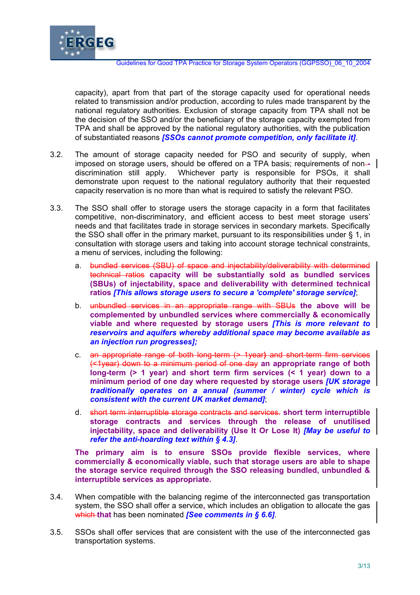

capacity), apart from that part of the storage capacity used for operational needs related to transmission and/or production, according to rules made transparent by the national regulatory authorities. Exclusion of storage capacity from TPA shall not be the decision of the SSO and/or the beneficiary of the storage capacity exempted from TPA and shall be approved by the national regulatory authorities, with the publication of substantiated reasons *[SSOs cannot promote competition, only facilitate it]*.

- 3.2. The amount of storage capacity needed for PSO and security of supply, when imposed on storage users, should be offered on a TPA basis; requirements of non-discrimination still apply. Whichever party is responsible for PSOs, it shall demonstrate upon request to the national regulatory authority that their requested capacity reservation is no more than what is required to satisfy the relevant PSO.
- 3.3. The SSO shall offer to storage users the storage capacity in a form that facilitates competitive, non-discriminatory, and efficient access to best meet storage users' needs and that facilitates trade in storage services in secondary markets. Specifically the SSO shall offer in the primary market, pursuant to its responsibilities under § 1, in consultation with storage users and taking into account storage technical constraints, a menu of services, including the following:
	- a. bundled services (SBU) of space and injectability/deliverability with determined technical ratios **capacity will be substantially sold as bundled services (SBUs) of injectability, space and deliverability with determined technical ratios** *[This allows storage users to secure a 'complete' storage service]*;
	- b. unbundled services in an appropriate range with SBUs **the above will be complemented by unbundled services where commercially & economically viable and where requested by storage users** *[This is more relevant to reservoirs and aquifers whereby additional space may become available as an injection run progresses];*
	- c. an appropriate range of both long-term (> 1year**)** and short-term firm services (<1year) down to a minimum period of one day **an appropriate range of both long-term (> 1 year) and short term firm services (< 1 year) down to a minimum period of one day where requested by storage users** *[UK storage traditionally operates on a annual (summer / winter) cycle which is consistent with the current UK market demand]*;
	- d. short term interruptible storage contracts and services. **short term interruptible storage contracts and services through the release of unutilised injectability, space and deliverability (Use It Or Lose It)** *[May be useful to refer the anti-hoarding text within § 4.3]*.

**The primary aim is to ensure SSOs provide flexible services, where commercially & economically viable, such that storage users are able to shape the storage service required through the SSO releasing bundled, unbundled & interruptible services as appropriate.** 

- 3.4. When compatible with the balancing regime of the interconnected gas transportation system, the SSO shall offer a service**,** which includes an obligation to allocate the gas which **that** has been nominated *[See comments in § 6.6]*.
- 3.5. SSOs shall offer services that are consistent with the use of the interconnected gas transportation systems.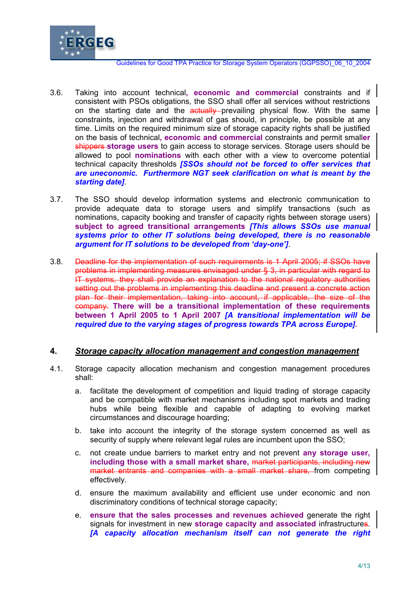

- 3.6. Taking into account technical**, economic and commercial** constraints and if consistent with PSOs obligations, the SSO shall offer all services without restrictions on the starting date and the actually prevailing physical flow. With the same constraints, injection and withdrawal of gas should, in principle, be possible at any time. Limits on the required minimum size of storage capacity rights shall be justified on the basis of technical**, economic and commercial** constraints and permit small**er**  shippers **storage users** to gain access to storage services. Storage users should be allowed to pool **nominations** with each other with a view to overcome potential technical capacity thresholds *[SSOs should not be forced to offer services that are uneconomic. Furthermore NGT seek clarification on what is meant by the starting date]*.
- 3.7. The SSO should develop information systems and electronic communication to provide adequate data to storage users and simplify transactions (such as nominations, capacity booking and transfer of capacity rights between storage users) **subject to agreed transitional arrangements** *[This allows SSOs use manual systems prior to other IT solutions being developed, there is no reasonable argument for IT solutions to be developed from 'day-one']*.
- 3.8. Deadline for the implementation of such requirements is 1 April 2005; if SSOs have problems in implementing measures envisaged under § 3, in particular with regard to IT systems, they shall provide an explanation to the national regulatory authorities setting out the problems in implementing this deadline and present a concrete action plan for their implementation, taking into account, if applicable, the size of the company. **There will be a transitional implementation of these requirements between 1 April 2005 to 1 April 2007** *[A transitional implementation will be required due to the varying stages of progress towards TPA across Europe]***.**

## **4.** *Storage capacity allocation management and congestion management*

- 4.1. Storage capacity allocation mechanism and congestion management procedures shall:
	- a. facilitate the development of competition and liquid trading of storage capacity and be compatible with market mechanisms including spot markets and trading hubs while being flexible and capable of adapting to evolving market circumstances and discourage hoarding;
	- b. take into account the integrity of the storage system concerned as well as security of supply where relevant legal rules are incumbent upon the SSO;
	- c. not create undue barriers to market entry and not prevent **any storage user, including those with a small market share,** market participants, including new market entrants and companies with a small market share, from competing effectively.
	- d. ensure the maximum availability and efficient use under economic and non discriminatory conditions of technical storage capacity;
	- e. **ensure that the sales processes and revenues achieved** generate the right signals for investment in new **storage capacity and associated** infrastructures. *[A capacity allocation mechanism itself can not generate the right*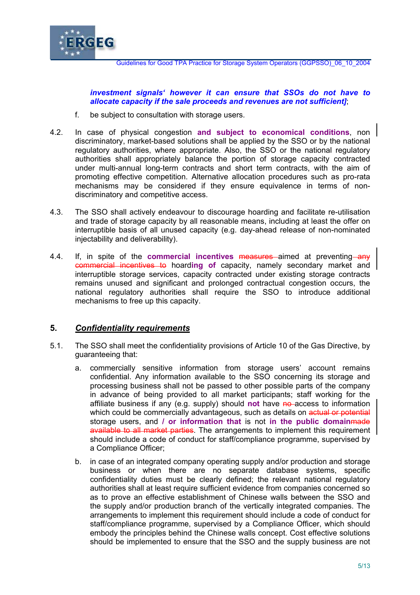

*investment signals' however it can ensure that SSOs do not have to allocate capacity if the sale proceeds and revenues are not sufficient]*;

- f. be subject to consultation with storage users.
- 4.2. In case of physical congestion **and subject to economical conditions**, non discriminatory, market-based solutions shall be applied by the SSO or by the national regulatory authorities, where appropriate. Also, the SSO or the national regulatory authorities shall appropriately balance the portion of storage capacity contracted under multi-annual long-term contracts and short term contracts, with the aim of promoting effective competition. Alternative allocation procedures such as pro-rata mechanisms may be considered if they ensure equivalence in terms of nondiscriminatory and competitive access.
- 4.3. The SSO shall actively endeavour to discourage hoarding and facilitate re-utilisation and trade of storage capacity by all reasonable means, including at least the offer on interruptible basis of all unused capacity (e.g. day-ahead release of non-nominated injectability and deliverability).
- 4.4. If, in spite of the **commercial incentives** measures aimed at preventing any commercial incentives to hoard**ing of** capacity, namely secondary market and interruptible storage services, capacity contracted under existing storage contracts remains unused and significant and prolonged contractual congestion occurs, the national regulatory authorities shall require the SSO to introduce additional mechanisms to free up this capacity.

# **5.** *Confidentiality requirements*

- 5.1. The SSO shall meet the confidentiality provisions of Article 10 of the Gas Directive, by guaranteeing that:
	- a. commercially sensitive information from storage users' account remains confidential. Any information available to the SSO concerning its storage and processing business shall not be passed to other possible parts of the company in advance of being provided to all market participants; staff working for the affiliate business if any (e.g. supply) should not have no access to information which could be commercially advantageous, such as details on actual or potential storage users, and **/ or information that** is not **in the public domain**made available to all market parties. The arrangements to implement this requirement should include a code of conduct for staff/compliance programme, supervised by a Compliance Officer;
	- b. in case of an integrated company operating supply and/or production and storage business or when there are no separate database systems, specific confidentiality duties must be clearly defined; the relevant national regulatory authorities shall at least require sufficient evidence from companies concerned so as to prove an effective establishment of Chinese walls between the SSO and the supply and/or production branch of the vertically integrated companies. The arrangements to implement this requirement should include a code of conduct for staff/compliance programme, supervised by a Compliance Officer, which should embody the principles behind the Chinese walls concept. Cost effective solutions should be implemented to ensure that the SSO and the supply business are not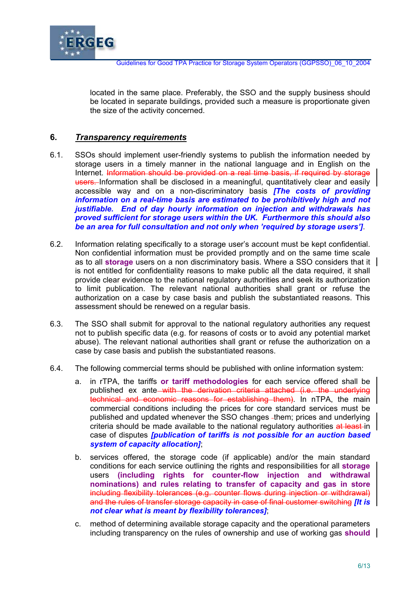

located in the same place. Preferably, the SSO and the supply business should be located in separate buildings, provided such a measure is proportionate given the size of the activity concerned.

## **6.** *Transparency requirements*

- 6.1. SSOs should implement user-friendly systems to publish the information needed by storage users in a timely manner in the national language and in English on the Internet. Information should be provided on a real time basis, if required by storage users. Information shall be disclosed in a meaningful, quantitatively clear and easily accessible way and on a non-discriminatory basis *[The costs of providing information on a real-time basis are estimated to be prohibitively high and not justifiable. End of day hourly information on injection and withdrawals has proved sufficient for storage users within the UK. Furthermore this should also be an area for full consultation and not only when 'required by storage users']*.
- 6.2. Information relating specifically to a storage user's account must be kept confidential. Non confidential information must be provided promptly and on the same time scale as to all **storage** users on a non discriminatory basis. Where a SSO considers that it is not entitled for confidentiality reasons to make public all the data required, it shall provide clear evidence to the national regulatory authorities and seek its authorization to limit publication. The relevant national authorities shall grant or refuse the authorization on a case by case basis and publish the substantiated reasons. This assessment should be renewed on a regular basis.
- 6.3. The SSO shall submit for approval to the national regulatory authorities any request not to publish specific data (e.g. for reasons of costs or to avoid any potential market abuse). The relevant national authorities shall grant or refuse the authorization on a case by case basis and publish the substantiated reasons.
- 6.4. The following commercial terms should be published with online information system:
	- a. in rTPA, the tariffs **or tariff methodologies** for each service offered shall be published ex ante with the derivation criteria attached (i.e. the underlying technical and economic reasons for establishing them). In nTPA, the main commercial conditions including the prices for core standard services must be published and updated whenever the SSO changes -them; prices and underlying criteria should be made available to the national regulatory authorities at least-in case of disputes *[publication of tariffs is not possible for an auction based system of capacity allocation]*;
	- b. services offered, the storage code (if applicable) and/or the main standard conditions for each service outlining the rights and responsibilities for all **storage**  users **(including rights for counter-flow injection and withdrawal nominations) and rules relating to transfer of capacity and gas in store**  including flexibility tolerances (e.g. counter flows during injection or withdrawal) and the rules of transfer storage capacity in case of final customer switching *[It is not clear what is meant by flexibility tolerances]*;
	- c. method of determining available storage capacity and the operational parameters including transparency on the rules of ownership and use of working gas **should**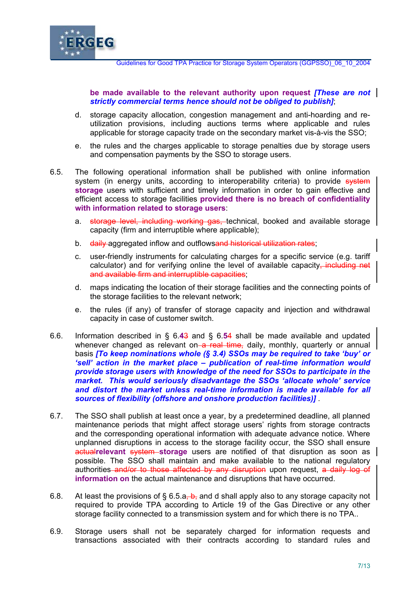

**be made available to the relevant authority upon request** *[These are not strictly commercial terms hence should not be obliged to publish]*;

- d. storage capacity allocation, congestion management and anti-hoarding and reutilization provisions, including auctions terms where applicable and rules applicable for storage capacity trade on the secondary market vis-à-vis the SSO;
- e. the rules and the charges applicable to storage penalties due by storage users and compensation payments by the SSO to storage users.
- 6.5. The following operational information shall be published with online information system (in energy units, according to interoperability criteria) to provide system **storage** users with sufficient and timely information in order to gain effective and efficient access to storage facilities **provided there is no breach of confidentiality with information related to storage users**:
	- a. storage level, including working gas, technical, booked and available storage capacity (firm and interruptible where applicable);
	- b. daily aggregated inflow and outflowsand historical utilization rates;
	- c. user-friendly instruments for calculating charges for a specific service (e.g. tariff calculator) and for verifying online the level of available capacity, including net and available firm and interruptible capacities;
	- d. maps indicating the location of their storage facilities and the connecting points of the storage facilities to the relevant network;
	- e. the rules (if any) of transfer of storage capacity and injection and withdrawal capacity in case of customer switch.
- 6.6. Information described in § 6.**4**3 and § 6.**5**4 shall be made available and updated whenever changed as relevant on  $a$  real time, daily, monthly, quarterly or annual basis *[To keep nominations whole (§ 3.4) SSOs may be required to take 'buy' or 'sell' action in the market place – publication of real-time information would provide storage users with knowledge of the need for SSOs to participate in the market. This would seriously disadvantage the SSOs 'allocate whole' service*  and distort the market unless real-time information is made available for all *sources of flexibility (offshore and onshore production facilities)]* .
- 6.7. The SSO shall publish at least once a year, by a predetermined deadline, all planned maintenance periods that might affect storage users' rights from storage contracts and the corresponding operational information with adequate advance notice. Where unplanned disruptions in access to the storage facility occur, the SSO shall ensure **actualrelevant system storage** users are notified of that disruption as soon as possible. The SSO shall maintain and make available to the national regulatory authorities and/or to those affected by any disruption upon request, a daily log of **information on** the actual maintenance and disruptions that have occurred.
- 6.8. At least the provisions of  $\S 6.5.a<sub>1</sub>-b<sub>1</sub>$  and d shall apply also to any storage capacity not required to provide TPA according to Article 19 of the Gas Directive or any other storage facility connected to a transmission system and for which there is no TPA..
- 6.9. Storage users shall not be separately charged for information requests and transactions associated with their contracts according to standard rules and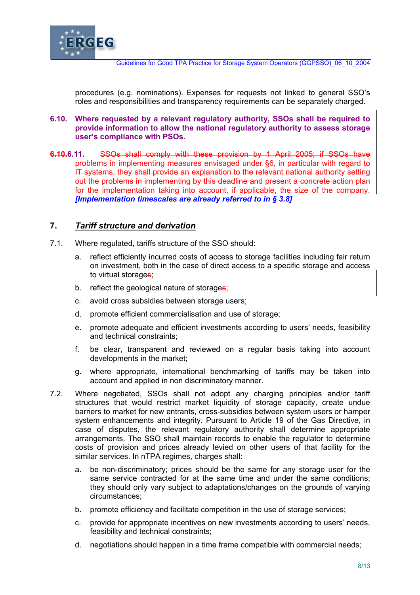

procedures (e.g. nominations). Expenses for requests not linked to general SSO's roles and responsibilities and transparency requirements can be separately charged.

#### **6.10. Where requested by a relevant regulatory authority, SSOs shall be required to provide information to allow the national regulatory authority to assess storage user's compliance with PSOs.**

**6.10.6.11.** SSOs shall comply with these provision by 1 April 2005; if SSOs have problems in implementing measures envisaged under §6, in particular with regard to IT systems, they shall provide an explanation to the relevant national authority setting out the problems in implementing by this deadline and present a concrete action plan for the implementation taking into account, if applicable, the size of the company. *[Implementation timescales are already referred to in § 3.8]*

## **7.** *Tariff structure and derivation*

- 7.1. Where regulated, tariffs structure of the SSO should:
	- a. reflect efficiently incurred costs of access to storage facilities including fair return on investment, both in the case of direct access to a specific storage and access to virtual storages;
	- b. reflect the geological nature of storages;
	- c. avoid cross subsidies between storage users;
	- d. promote efficient commercialisation and use of storage;
	- e. promote adequate and efficient investments according to users' needs, feasibility and technical constraints;
	- f. be clear, transparent and reviewed on a regular basis taking into account developments in the market;
	- g. where appropriate, international benchmarking of tariffs may be taken into account and applied in non discriminatory manner.
- 7.2. Where negotiated, SSOs shall not adopt any charging principles and/or tariff structures that would restrict market liquidity of storage capacity, create undue barriers to market for new entrants, cross-subsidies between system users or hamper system enhancements and integrity. Pursuant to Article 19 of the Gas Directive, in case of disputes, the relevant regulatory authority shall determine appropriate arrangements. The SSO shall maintain records to enable the regulator to determine costs of provision and prices already levied on other users of that facility for the similar services. In nTPA regimes, charges shall:
	- a. be non-discriminatory; prices should be the same for any storage user for the same service contracted for at the same time and under the same conditions; they should only vary subject to adaptations/changes on the grounds of varying circumstances;
	- b. promote efficiency and facilitate competition in the use of storage services;
	- c. provide for appropriate incentives on new investments according to users' needs, feasibility and technical constraints;
	- d. negotiations should happen in a time frame compatible with commercial needs;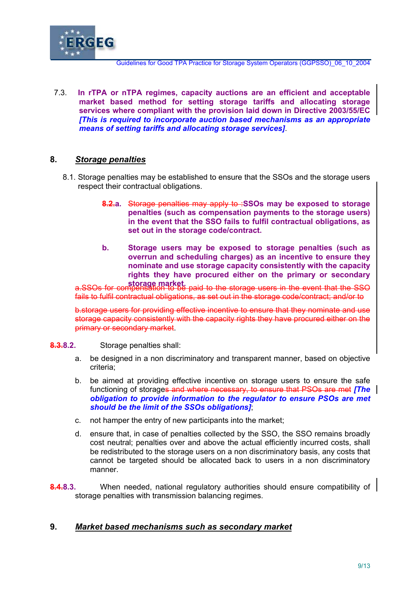

7.3. **In rTPA or nTPA regimes, capacity auctions are an efficient and acceptable market based method for setting storage tariffs and allocating storage services where compliant with the provision laid down in Directive 2003/55/EC** *[This is required to incorporate auction based mechanisms as an appropriate means of setting tariffs and allocating storage services]*.

## **8.** *Storage penalties*

- 8.1. Storage penalties may be established to ensure that the SSOs and the storage users respect their contractual obligations.
	- **8.2.a.** Storage penalties may apply to :**SSOs may be exposed to storage penalties (such as compensation payments to the storage users) in the event that the SSO fails to fulfil contractual obligations, as set out in the storage code/contract.**
	- **b. Storage users may be exposed to storage penalties (such as overrun and scheduling charges) as an incentive to ensure they nominate and use storage capacity consistently with the capacity rights they have procured either on the primary or secondary**

**storage market.** a.SSOs for compensation to be paid to the storage users in the event that the SSO fails to fulfil contractual obligations, as set out in the storage code/contract; and/or to

b.storage users for providing effective incentive to ensure that they nominate and use storage capacity consistently with the capacity rights they have procured either on the primary or secondary market.

#### **8.3.8.2.** Storage penalties shall:

- a. be designed in a non discriminatory and transparent manner, based on objective criteria;
- b. be aimed at providing effective incentive on storage users to ensure the safe functioning of storages and where necessary, to ensure that PSOs are met *[The obligation to provide information to the regulator to ensure PSOs are met should be the limit of the SSOs obligations]*;
- c. not hamper the entry of new participants into the market;
- d. ensure that, in case of penalties collected by the SSO, the SSO remains broadly cost neutral; penalties over and above the actual efficiently incurred costs, shall be redistributed to the storage users on a non discriminatory basis, any costs that cannot be targeted should be allocated back to users in a non discriminatory manner.
- **8.4.8.3.** When needed, national regulatory authorities should ensure compatibility of storage penalties with transmission balancing regimes.

## **9.** *Market based mechanisms such as secondary market*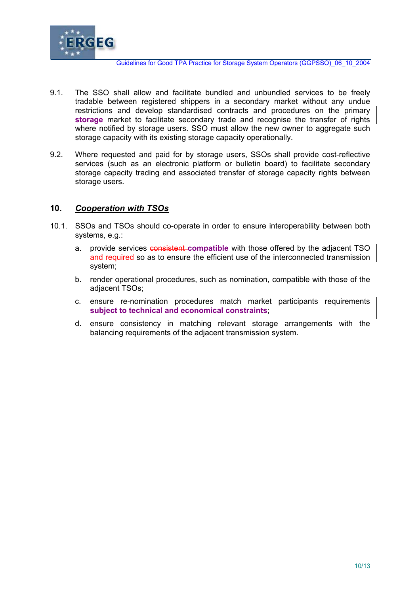

- 9.1. The SSO shall allow and facilitate bundled and unbundled services to be freely tradable between registered shippers in a secondary market without any undue restrictions and develop standardised contracts and procedures on the primary **storage** market to facilitate secondary trade and recognise the transfer of rights where notified by storage users. SSO must allow the new owner to aggregate such storage capacity with its existing storage capacity operationally.
- 9.2. Where requested and paid for by storage users, SSOs shall provide cost-reflective services (such as an electronic platform or bulletin board) to facilitate secondary storage capacity trading and associated transfer of storage capacity rights between storage users.

## **10.** *Cooperation with TSOs*

- 10.1. SSOs and TSOs should co-operate in order to ensure interoperability between both systems, e.g.:
	- a. provide services consistent **compatible** with those offered by the adjacent TSO and required so as to ensure the efficient use of the interconnected transmission system;
	- b. render operational procedures, such as nomination, compatible with those of the adjacent TSOs;
	- c. ensure re-nomination procedures match market participants requirements **subject to technical and economical constraints**;
	- d. ensure consistency in matching relevant storage arrangements with the balancing requirements of the adjacent transmission system.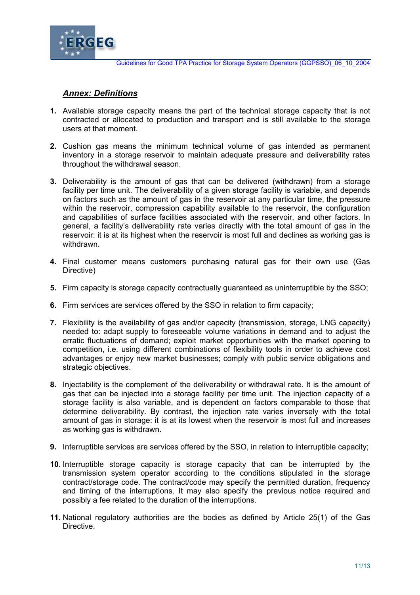

## *Annex: Definitions*

- **1.** Available storage capacity means the part of the technical storage capacity that is not contracted or allocated to production and transport and is still available to the storage users at that moment.
- **2.** Cushion gas means the minimum technical volume of gas intended as permanent inventory in a storage reservoir to maintain adequate pressure and deliverability rates throughout the withdrawal season.
- **3.** Deliverability is the amount of gas that can be delivered (withdrawn) from a storage facility per time unit. The deliverability of a given storage facility is variable, and depends on factors such as the amount of gas in the reservoir at any particular time, the pressure within the reservoir, compression capability available to the reservoir, the configuration and capabilities of surface facilities associated with the reservoir, and other factors. In general, a facility's deliverability rate varies directly with the total amount of gas in the reservoir: it is at its highest when the reservoir is most full and declines as working gas is withdrawn.
- **4.** Final customer means customers purchasing natural gas for their own use (Gas Directive)
- **5.** Firm capacity is storage capacity contractually guaranteed as uninterruptible by the SSO;
- **6.** Firm services are services offered by the SSO in relation to firm capacity;
- **7.** Flexibility is the availability of gas and/or capacity (transmission, storage, LNG capacity) needed to: adapt supply to foreseeable volume variations in demand and to adjust the erratic fluctuations of demand; exploit market opportunities with the market opening to competition, i.e. using different combinations of flexibility tools in order to achieve cost advantages or enjoy new market businesses; comply with public service obligations and strategic objectives.
- **8.** Injectability is the complement of the deliverability or withdrawal rate. It is the amount of gas that can be injected into a storage facility per time unit. The injection capacity of a storage facility is also variable, and is dependent on factors comparable to those that determine deliverability. By contrast, the injection rate varies inversely with the total amount of gas in storage: it is at its lowest when the reservoir is most full and increases as working gas is withdrawn.
- **9.** Interruptible services are services offered by the SSO, in relation to interruptible capacity;
- **10.** Interruptible storage capacity is storage capacity that can be interrupted by the transmission system operator according to the conditions stipulated in the storage contract/storage code. The contract/code may specify the permitted duration, frequency and timing of the interruptions. It may also specify the previous notice required and possibly a fee related to the duration of the interruptions.
- **11.** National regulatory authorities are the bodies as defined by Article 25(1) of the Gas Directive.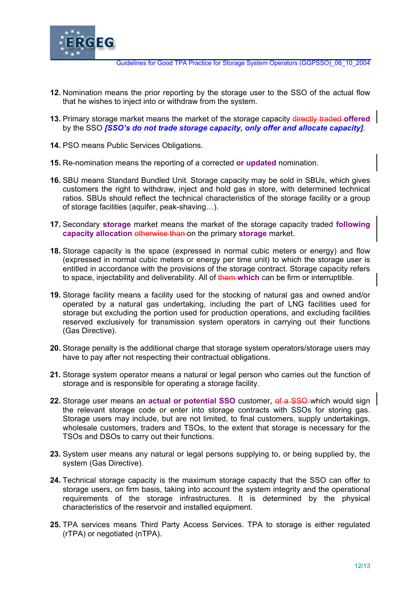

- **12.** Nomination means the prior reporting by the storage user to the SSO of the actual flow that he wishes to inject into or withdraw from the system.
- **13.** Primary storage market means the market of the storage capacity directly traded **offered**  by the SSO *[SSO's do not trade storage capacity, only offer and allocate capacity]*.
- **14.** PSO means Public Services Obligations.
- **15.** Re-nomination means the reporting of a corrected **or updated** nomination.
- **16.** SBU means Standard Bundled Unit. Storage capacity may be sold in SBUs, which gives customers the right to withdraw, inject and hold gas in store, with determined technical ratios. SBUs should reflect the technical characteristics of the storage facility or a group of storage facilities (aquifer, peak-shaving…).
- **17.** Secondary **storage** market means the market of the storage capacity traded **following capacity allocation otherwise than on the primary storage market.**
- **18.** Storage capacity is the space (expressed in normal cubic meters or energy) and flow (expressed in normal cubic meters or energy per time unit) to which the storage user is entitled in accordance with the provisions of the storage contract. Storage capacity refers to space, injectability and deliverability. All of them **which** can be firm or interruptible.
- **19.** Storage facility means a facility used for the stocking of natural gas and owned and/or operated by a natural gas undertaking, including the part of LNG facilities used for storage but excluding the portion used for production operations, and excluding facilities reserved exclusively for transmission system operators in carrying out their functions (Gas Directive).
- **20.** Storage penalty is the additional charge that storage system operators/storage users may have to pay after not respecting their contractual obligations.
- **21.** Storage system operator means a natural or legal person who carries out the function of storage and is responsible for operating a storage facility.
- **22.** Storage user means a**n actual or potential SSO** customer**,** of a SSO which would sign the relevant storage code or enter into storage contracts with SSOs for storing gas. Storage users may include, but are not limited, to final customers, supply undertakings, wholesale customers, traders and TSOs, to the extent that storage is necessary for the TSOs and DSOs to carry out their functions.
- **23.** System user means any natural or legal persons supplying to, or being supplied by, the system (Gas Directive).
- **24.** Technical storage capacity is the maximum storage capacity that the SSO can offer to storage users, on firm basis, taking into account the system integrity and the operational requirements of the storage infrastructures. It is determined by the physical characteristics of the reservoir and installed equipment.
- **25.** TPA services means Third Party Access Services. TPA to storage is either regulated (rTPA) or negotiated (nTPA).